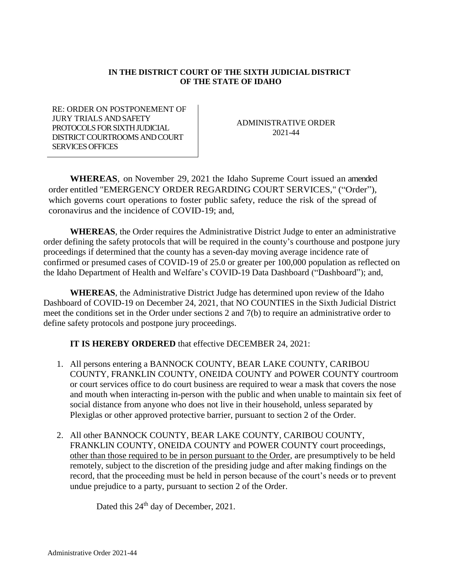## **IN THE DISTRICT COURT OF THE SIXTH JUDICIAL DISTRICT OF THE STATE OF IDAHO**

RE: ORDER ON POSTPONEMENT OF JURY TRIALS AND SAFETY PROTOCOLS FOR SIXTH JUDICIAL DISTRICT COURTROOMS AND COURT SERVICES OFFICES

ADMINISTRATIVE ORDER 2021-44

**WHEREAS**, on November 29, 2021 the Idaho Supreme Court issued an amended order entitled "EMERGENCY ORDER REGARDING COURT SERVICES," ("Order"), which governs court operations to foster public safety, reduce the risk of the spread of coronavirus and the incidence of COVID-19; and,

**WHEREAS**, the Order requires the Administrative District Judge to enter an administrative order defining the safety protocols that will be required in the county's courthouse and postpone jury proceedings if determined that the county has a seven-day moving average incidence rate of confirmed or presumed cases of COVID-19 of 25.0 or greater per 100,000 population as reflected on the Idaho Department of Health and Welfare's COVID-19 Data Dashboard ("Dashboard"); and,

**WHEREAS**, the Administrative District Judge has determined upon review of the Idaho Dashboard of COVID-19 on December 24, 2021, that NO COUNTIES in the Sixth Judicial District meet the conditions set in the Order under sections 2 and 7(b) to require an administrative order to define safety protocols and postpone jury proceedings.

**IT IS HEREBY ORDERED** that effective DECEMBER 24, 2021:

- 1. All persons entering a BANNOCK COUNTY, BEAR LAKE COUNTY, CARIBOU COUNTY, FRANKLIN COUNTY, ONEIDA COUNTY and POWER COUNTY courtroom or court services office to do court business are required to wear a mask that covers the nose and mouth when interacting in-person with the public and when unable to maintain six feet of social distance from anyone who does not live in their household, unless separated by Plexiglas or other approved protective barrier, pursuant to section 2 of the Order.
- 2. All other BANNOCK COUNTY, BEAR LAKE COUNTY, CARIBOU COUNTY, FRANKLIN COUNTY, ONEIDA COUNTY and POWER COUNTY court proceedings, other than those required to be in person pursuant to the Order, are presumptively to be held remotely, subject to the discretion of the presiding judge and after making findings on the record, that the proceeding must be held in person because of the court's needs or to prevent undue prejudice to a party, pursuant to section 2 of the Order.

Dated this 24<sup>th</sup> day of December, 2021.